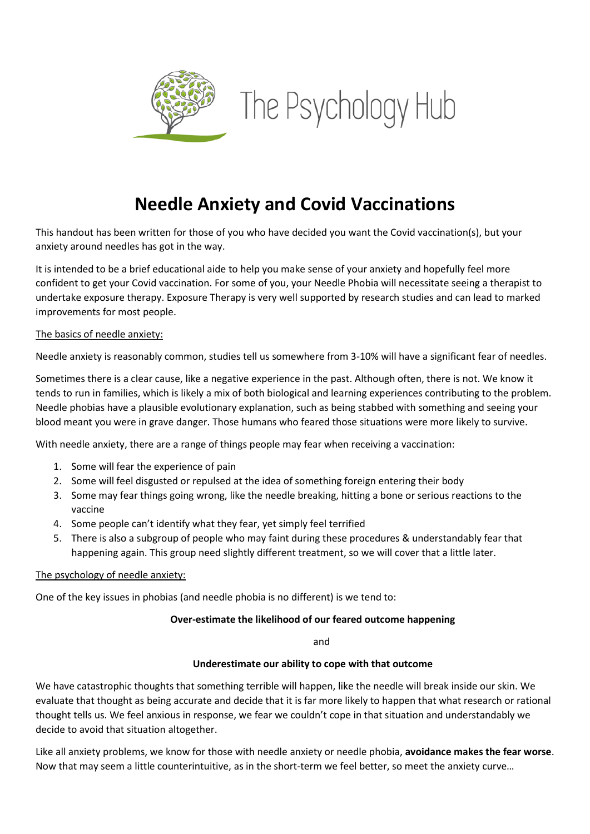

# **Needle Anxiety and Covid Vaccinations**

This handout has been written for those of you who have decided you want the Covid vaccination(s), but your anxiety around needles has got in the way.

It is intended to be a brief educational aide to help you make sense of your anxiety and hopefully feel more confident to get your Covid vaccination. For some of you, your Needle Phobia will necessitate seeing a therapist to undertake exposure therapy. Exposure Therapy is very well supported by research studies and can lead to marked improvements for most people.

## The basics of needle anxiety:

Needle anxiety is reasonably common, studies tell us somewhere from 3-10% will have a significant fear of needles.

Sometimes there is a clear cause, like a negative experience in the past. Although often, there is not. We know it tends to run in families, which is likely a mix of both biological and learning experiences contributing to the problem. Needle phobias have a plausible evolutionary explanation, such as being stabbed with something and seeing your blood meant you were in grave danger. Those humans who feared those situations were more likely to survive.

With needle anxiety, there are a range of things people may fear when receiving a vaccination:

- 1. Some will fear the experience of pain
- 2. Some will feel disgusted or repulsed at the idea of something foreign entering their body
- 3. Some may fear things going wrong, like the needle breaking, hitting a bone or serious reactions to the vaccine
- 4. Some people can't identify what they fear, yet simply feel terrified
- 5. There is also a subgroup of people who may faint during these procedures & understandably fear that happening again. This group need slightly different treatment, so we will cover that a little later.

#### The psychology of needle anxiety:

One of the key issues in phobias (and needle phobia is no different) is we tend to:

#### **Over-estimate the likelihood of our feared outcome happening**

and

#### **Underestimate our ability to cope with that outcome**

We have catastrophic thoughts that something terrible will happen, like the needle will break inside our skin. We evaluate that thought as being accurate and decide that it is far more likely to happen that what research or rational thought tells us. We feel anxious in response, we fear we couldn't cope in that situation and understandably we decide to avoid that situation altogether.

Like all anxiety problems, we know for those with needle anxiety or needle phobia, **avoidance makes the fear worse**. Now that may seem a little counterintuitive, as in the short-term we feel better, so meet the anxiety curve…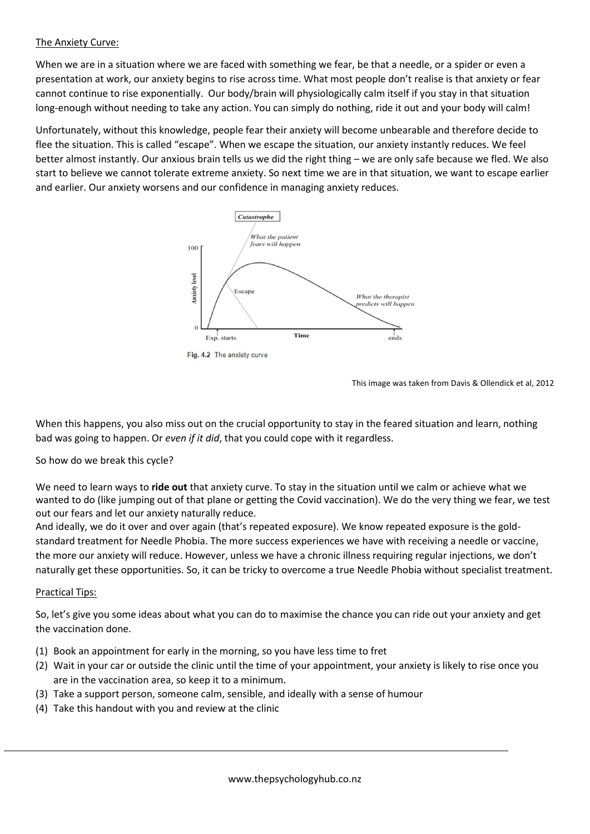## The Anxiety Curve:

When we are in a situation where we are faced with something we fear, be that a needle, or a spider or even a presentation at work, our anxiety begins to rise across time. What most people don't realise is that anxiety or fear cannot continue to rise exponentially. Our body/brain will physiologically calm itself if you stay in that situation long-enough without needing to take any action. You can simply do nothing, ride it out and your body will calm!

Unfortunately, without this knowledge, people fear their anxiety will become unbearable and therefore decide to flee the situation. This is called "escape". When we escape the situation, our anxiety instantly reduces. We feel better almost instantly. Our anxious brain tells us we did the right thing – we are only safe because we fled. We also start to believe we cannot tolerate extreme anxiety. So next time we are in that situation, we want to escape earlier and earlier. Our anxiety worsens and our confidence in managing anxiety reduces.



Fig. 4.2 The anxiety curve

This image was taken from Davis & Ollendick et al, 2012

When this happens, you also miss out on the crucial opportunity to stay in the feared situation and learn, nothing bad was going to happen. Or *even if it did*, that you could cope with it regardless.

So how do we break this cycle?

We need to learn ways to **ride out** that anxiety curve. To stay in the situation until we calm or achieve what we wanted to do (like jumping out of that plane or getting the Covid vaccination). We do the very thing we fear, we test out our fears and let our anxiety naturally reduce.

And ideally, we do it over and over again (that's repeated exposure). We know repeated exposure is the goldstandard treatment for Needle Phobia. The more success experiences we have with receiving a needle or vaccine, the more our anxiety will reduce. However, unless we have a chronic illness requiring regular injections, we don't naturally get these opportunities. So, it can be tricky to overcome a true Needle Phobia without specialist treatment.

## Practical Tips:

So, let's give you some ideas about what you can do to maximise the chance you can ride out your anxiety and get the vaccination done.

- (1) Book an appointment for early in the morning, so you have less time to fret
- (2) Wait in your car or outside the clinic until the time of your appointment, your anxiety is likely to rise once you are in the vaccination area, so keep it to a minimum.
- (3) Take a support person, someone calm, sensible, and ideally with a sense of humour
- (4) Take this handout with you and review at the clinic